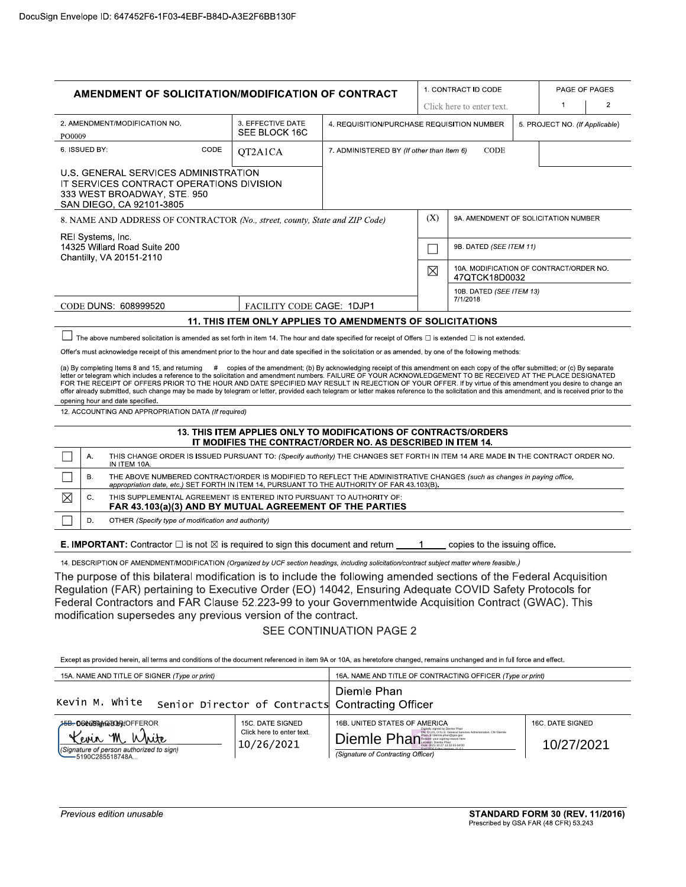|                                                                                                                                                                                                                                                                                                                                                                                                                                                                                                                                                                                                                                                                                                                                                                                                                                                                                                                                                                                 |                                                                                                                                                                                                                       |                                                                                               | 1. CONTRACT ID CODE                                                     |                                      |                                                          | PAGE OF PAGES |              |                |
|---------------------------------------------------------------------------------------------------------------------------------------------------------------------------------------------------------------------------------------------------------------------------------------------------------------------------------------------------------------------------------------------------------------------------------------------------------------------------------------------------------------------------------------------------------------------------------------------------------------------------------------------------------------------------------------------------------------------------------------------------------------------------------------------------------------------------------------------------------------------------------------------------------------------------------------------------------------------------------|-----------------------------------------------------------------------------------------------------------------------------------------------------------------------------------------------------------------------|-----------------------------------------------------------------------------------------------|-------------------------------------------------------------------------|--------------------------------------|----------------------------------------------------------|---------------|--------------|----------------|
| <b>AMENDMENT OF SOLICITATION/MODIFICATION OF CONTRACT</b>                                                                                                                                                                                                                                                                                                                                                                                                                                                                                                                                                                                                                                                                                                                                                                                                                                                                                                                       |                                                                                                                                                                                                                       |                                                                                               |                                                                         |                                      |                                                          |               | $\mathbf{1}$ | $\overline{2}$ |
| 2. AMENDMENT/MODIFICATION NO.<br>PO0009                                                                                                                                                                                                                                                                                                                                                                                                                                                                                                                                                                                                                                                                                                                                                                                                                                                                                                                                         |                                                                                                                                                                                                                       | 3. EFFECTIVE DATE<br>SEE BLOCK 16C                                                            | Click here to enter text.<br>4. REQUISITION/PURCHASE REQUISITION NUMBER |                                      | 5. PROJECT NO. (If Applicable)                           |               |              |                |
| 6. ISSUED BY:                                                                                                                                                                                                                                                                                                                                                                                                                                                                                                                                                                                                                                                                                                                                                                                                                                                                                                                                                                   | CODE<br>QT2A1CA                                                                                                                                                                                                       |                                                                                               | <b>CODE</b><br>7. ADMINISTERED BY (If other than Item 6)                |                                      |                                                          |               |              |                |
|                                                                                                                                                                                                                                                                                                                                                                                                                                                                                                                                                                                                                                                                                                                                                                                                                                                                                                                                                                                 | U.S. GENERAL SERVICES ADMINISTRATION<br>IT SERVICES CONTRACT OPERATIONS DIVISION<br>333 WEST BROADWAY, STE. 950<br>SAN DIEGO, CA 92101-3805                                                                           |                                                                                               |                                                                         |                                      |                                                          |               |              |                |
|                                                                                                                                                                                                                                                                                                                                                                                                                                                                                                                                                                                                                                                                                                                                                                                                                                                                                                                                                                                 | 8. NAME AND ADDRESS OF CONTRACTOR (No., street, county, State and ZIP Code)                                                                                                                                           |                                                                                               | (X)                                                                     | 9A. AMENDMENT OF SOLICITATION NUMBER |                                                          |               |              |                |
| REI Systems, Inc.<br>14325 Willard Road Suite 200                                                                                                                                                                                                                                                                                                                                                                                                                                                                                                                                                                                                                                                                                                                                                                                                                                                                                                                               |                                                                                                                                                                                                                       |                                                                                               |                                                                         |                                      | 9B. DATED (SEE ITEM 11)                                  |               |              |                |
| Chantilly, VA 20151-2110                                                                                                                                                                                                                                                                                                                                                                                                                                                                                                                                                                                                                                                                                                                                                                                                                                                                                                                                                        |                                                                                                                                                                                                                       |                                                                                               |                                                                         | $\boxtimes$                          | 10A. MODIFICATION OF CONTRACT/ORDER NO.<br>47QTCK18D0032 |               |              |                |
|                                                                                                                                                                                                                                                                                                                                                                                                                                                                                                                                                                                                                                                                                                                                                                                                                                                                                                                                                                                 |                                                                                                                                                                                                                       |                                                                                               |                                                                         |                                      | 10B. DATED (SEE ITEM 13)<br>7/1/2018                     |               |              |                |
| CODE DUNS: 608999520                                                                                                                                                                                                                                                                                                                                                                                                                                                                                                                                                                                                                                                                                                                                                                                                                                                                                                                                                            |                                                                                                                                                                                                                       | FACILITY CODE CAGE: 1DJP1<br><b>11. THIS ITEM ONLY APPLIES TO AMENDMENTS OF SOLICITATIONS</b> |                                                                         |                                      |                                                          |               |              |                |
| Offer's must acknowledge receipt of this amendment prior to the hour and date specified in the solicitation or as amended, by one of the following methods:<br>(a) By completing Items 8 and 15, and returning # copies of the amendment; (b) By acknowledging receipt of this amendment on each copy of the offer submitted; or (c) By separate<br>letter or telegram which includes a reference to the solicitation and amendment numbers. FAILURE OF YOUR ACKNOWLEDGEMENT TO BE RECEIVED AT THE PLACE DESIGNATED<br>FOR THE RECEIPT OF OFFERS PRIOR TO THE HOUR AND DATE SPECIFIED MAY RESULT IN REJECTION OF YOUR OFFER. If by virtue of this amendment you desire to change an<br>offer already submitted, such change may be made by telegram or letter, provided each telegram or letter makes reference to the solicitation and this amendment, and is received prior to the<br>opening hour and date specified.<br>12. ACCOUNTING AND APPROPRIATION DATA (If required) |                                                                                                                                                                                                                       |                                                                                               |                                                                         |                                      |                                                          |               |              |                |
| 13. THIS ITEM APPLIES ONLY TO MODIFICATIONS OF CONTRACTS/ORDERS<br>IT MODIFIES THE CONTRACT/ORDER NO. AS DESCRIBED IN ITEM 14.                                                                                                                                                                                                                                                                                                                                                                                                                                                                                                                                                                                                                                                                                                                                                                                                                                                  |                                                                                                                                                                                                                       |                                                                                               |                                                                         |                                      |                                                          |               |              |                |
| Α.                                                                                                                                                                                                                                                                                                                                                                                                                                                                                                                                                                                                                                                                                                                                                                                                                                                                                                                                                                              | THIS CHANGE ORDER IS ISSUED PURSUANT TO: (Specify authority) THE CHANGES SET FORTH IN ITEM 14 ARE MADE IN THE CONTRACT ORDER NO.<br>IN ITEM 10A                                                                       |                                                                                               |                                                                         |                                      |                                                          |               |              |                |
| <b>B.</b>                                                                                                                                                                                                                                                                                                                                                                                                                                                                                                                                                                                                                                                                                                                                                                                                                                                                                                                                                                       | THE ABOVE NUMBERED CONTRACT/ORDER IS MODIFIED TO REFLECT THE ADMINISTRATIVE CHANGES (such as changes in paying office,<br>appropriation date, etc.) SET FORTH IN ITEM 14, PURSUANT TO THE AUTHORITY OF FAR 43.103(B). |                                                                                               |                                                                         |                                      |                                                          |               |              |                |
| $\boxtimes$<br>C.                                                                                                                                                                                                                                                                                                                                                                                                                                                                                                                                                                                                                                                                                                                                                                                                                                                                                                                                                               | THIS SUPPLEMENTAL AGREEMENT IS ENTERED INTO PURSUANT TO AUTHORITY OF:<br>FAR 43.103(a)(3) AND BY MUTUAL AGREEMENT OF THE PARTIES                                                                                      |                                                                                               |                                                                         |                                      |                                                          |               |              |                |
| D.                                                                                                                                                                                                                                                                                                                                                                                                                                                                                                                                                                                                                                                                                                                                                                                                                                                                                                                                                                              | OTHER (Specify type of modification and authority)                                                                                                                                                                    |                                                                                               |                                                                         |                                      |                                                          |               |              |                |
| <b>E. IMPORTANT:</b> Contractor $\square$ is not $\boxtimes$ is required to sign this document and return<br>copies to the issuing office.<br>$\mathbf 1$                                                                                                                                                                                                                                                                                                                                                                                                                                                                                                                                                                                                                                                                                                                                                                                                                       |                                                                                                                                                                                                                       |                                                                                               |                                                                         |                                      |                                                          |               |              |                |
| 14. DESCRIPTION OF AMENDMENT/MODIFICATION (Organized by UCF section headings, including solicitation/contract subject matter where feasible.)                                                                                                                                                                                                                                                                                                                                                                                                                                                                                                                                                                                                                                                                                                                                                                                                                                   |                                                                                                                                                                                                                       |                                                                                               |                                                                         |                                      |                                                          |               |              |                |
| The purpose of this bilateral modification is to include the following amended sections of the Federal Acquisition<br>Regulation (FAR) pertaining to Executive Order (EO) 14042, Ensuring Adequate COVID Safety Protocols for<br>Federal Contractors and FAR Clause 52.223-99 to your Governmentwide Acquisition Contract (GWAC). This<br>modification supersedes any previous version of the contract.                                                                                                                                                                                                                                                                                                                                                                                                                                                                                                                                                                         |                                                                                                                                                                                                                       |                                                                                               |                                                                         |                                      |                                                          |               |              |                |

## SEE CONTINUATION PAGE 2

Except as provided herein, all terms and conditions of the document referenced in item 9A or 10A, as heretofore changed, remains unchanged and in full force and effect.

| 15A. NAME AND TITLE OF SIGNER (Type or print)                                   |                                         | 16A. NAME AND TITLE OF CONTRACTING OFFICER (Type or print)                                                                                                                             |                  |  |  |  |
|---------------------------------------------------------------------------------|-----------------------------------------|----------------------------------------------------------------------------------------------------------------------------------------------------------------------------------------|------------------|--|--|--|
| Kevin M. White                                                                  |                                         | Diemle Phan<br>Senior Director of Contracts Contracting Officer                                                                                                                        |                  |  |  |  |
| 15B-DOCUTSTANGEOUT / OFFEROR                                                    | 15C. DATE SIGNED                        | 16B. UNITED STATES OF AMERICA                                                                                                                                                          | 16C. DATE SIGNED |  |  |  |
| Kevin M. White<br>(Signature of person authorized to sign)<br>— 5190C285518748A | Click here to enter text.<br>10/26/2021 | Digitally signed by Diemie Phan<br>DN: C=US: O=U.S. General Services Administration, CN=Diemie<br>Diemle Phan<br>Date: 2021 10 27 13:32:55 04:00<br>(Signature of Contracting Officer) | 10/27/2021       |  |  |  |